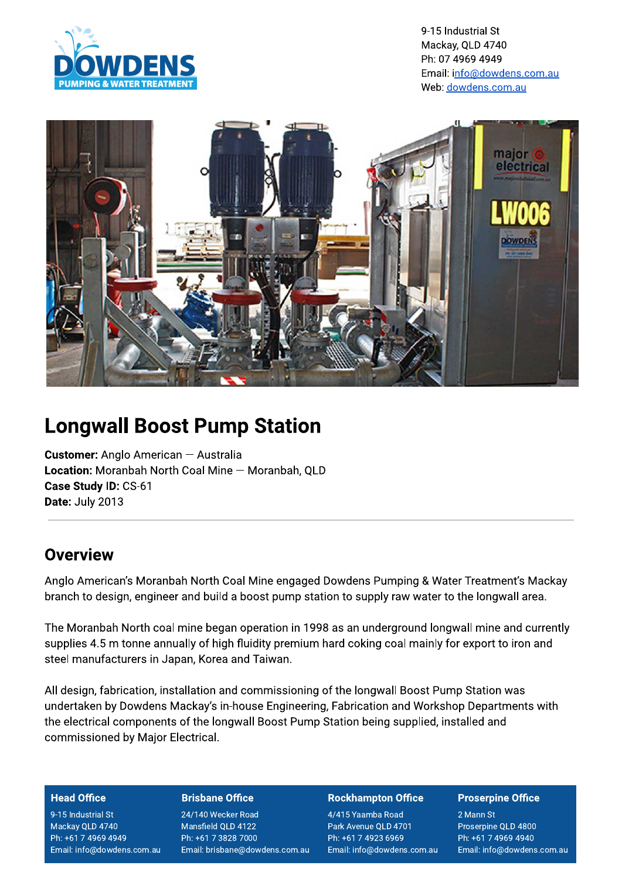

9-15 Industrial St Mackay, QLD 4740 Ph: 07 4969 4949 Email: info@dowdens.com.au Web: dowdens.com.au



# **Longwall Boost Pump Station**

**Customer:** Anglo American - Australia Location: Moranbah North Coal Mine - Moranbah, QLD Case Study ID: CS-61 Date: July 2013

## Overview

Anglo American's Moranbah North Coal Mine engaged Dowdens Pumping & Water Treatment's Mackay branch to design, engineer and build a boost pump station to supply raw water to the longwall area.

The Moranbah North coal mine began operation in 1998 as an underground longwall mine and currently supplies 4.5 m tonne annually of high fluidity premium hard coking coal mainly for export to iron and steel manufacturers in Japan, Korea and Taiwan.

All design, fabrication, installation and commissioning of the longwall Boost Pump Station was undertaken by Dowdens Mackay's in-house Engineering, Fabrication and Workshop Departments with the electrical components of the longwall Boost Pump Station being supplied, installed and commissioned by Major Electrical.

### **Head Office**

9-15 Industrial St Mackay QLD 4740 Ph: +61 7 4969 4949 Email: info@dowdens.com.au

### **Brisbane Office**

24/140 Wecker Road Mansfield QLD 4122 Ph: +61 7 3828 7000 Email: brisbane@dowdens.com.au

### **Rockhampton Office**

4/415 Yaamba Road Park Avenue QLD 4701 Ph: +61 7 4923 6969 Email: info@dowdens.com.au

### **Proserpine Office**

2 Mann St Proserpine QLD 4800 Ph: +61 7 4969 4940 Email: info@dowdens.com.au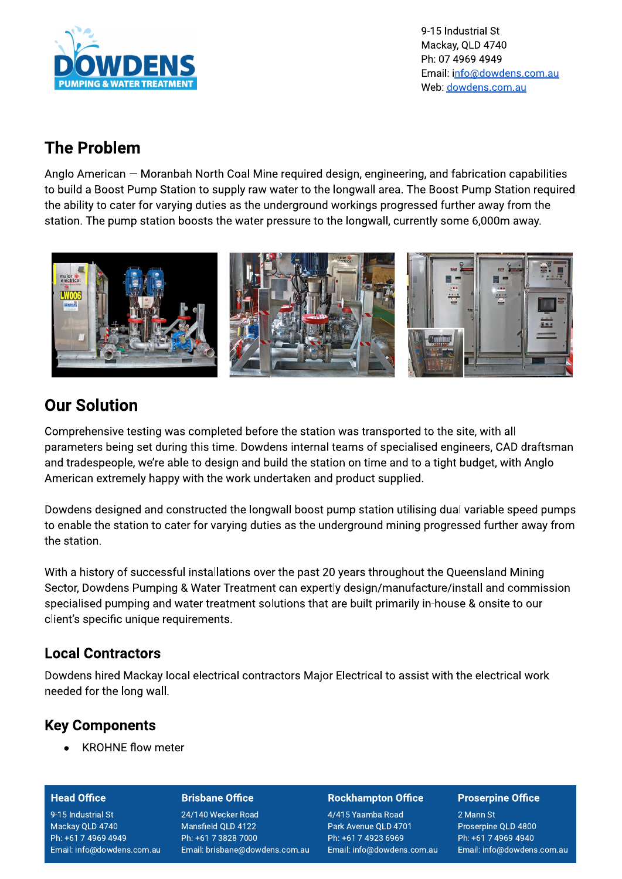

9-15 Industrial St Mackay, QLD 4740 Ph: 07 4969 4949 Email: info@dowdens.com.au Web: dowdens.com.au

# **The Problem**

Anglo American – Moranbah North Coal Mine required design, engineering, and fabrication capabilities to build a Boost Pump Station to supply raw water to the longwall area. The Boost Pump Station required the ability to cater for varying duties as the underground workings progressed further away from the station. The pump station boosts the water pressure to the longwall, currently some 6,000m away.



## **Our Solution**

Comprehensive testing was completed before the station was transported to the site, with all parameters being set during this time. Dowdens internal teams of specialised engineers, CAD draftsman and tradespeople, we're able to design and build the station on time and to a tight budget, with Anglo American extremely happy with the work undertaken and product supplied.

Dowdens designed and constructed the longwall boost pump station utilising dual variable speed pumps to enable the station to cater for varying duties as the underground mining progressed further away from the station.

With a history of successful installations over the past 20 years throughout the Queensland Mining Sector, Dowdens Pumping & Water Treatment can expertly design/manufacture/install and commission specialised pumping and water treatment solutions that are built primarily in-house & onsite to our client's specific unique requirements.

### **Local Contractors**

Dowdens hired Mackay local electrical contractors Major Electrical to assist with the electrical work needed for the long wall.

### **Key Components**

**KROHNE flow meter** 

### **Head Office**

9-15 Industrial St Mackay QLD 4740 Ph: +61 7 4969 4949 Email: info@dowdens.com.au

### **Brisbane Office**

24/140 Wecker Road Mansfield QLD 4122 Ph: +61 7 3828 7000 Email: brisbane@dowdens.com.au

### **Rockhampton Office**

4/415 Yaamba Road Park Avenue QLD 4701 Ph: +61 7 4923 6969 Email: info@dowdens.com.au

### **Proserpine Office**

2 Mann St Proserpine QLD 4800 Ph: +61 7 4969 4940 Email: info@dowdens.com.au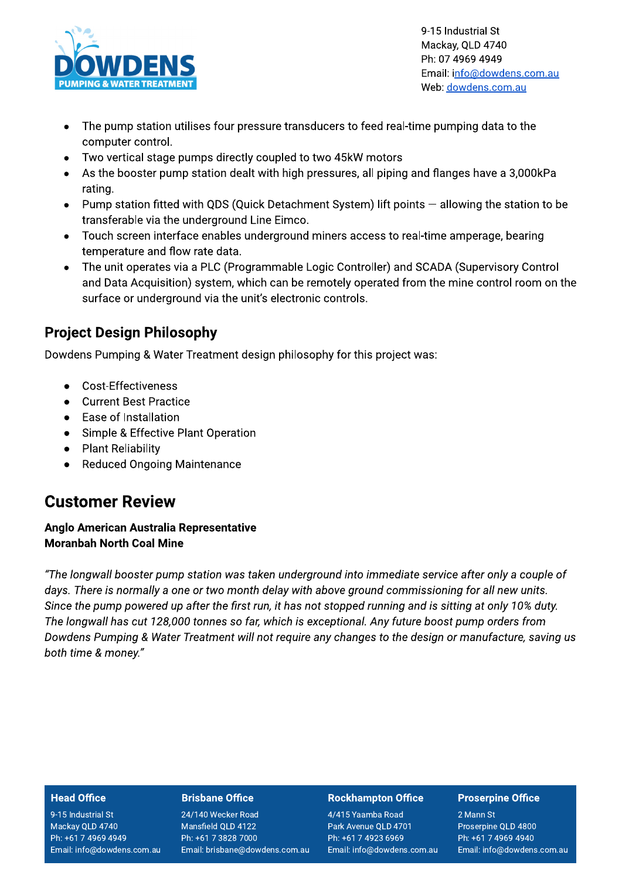

9-15 Industrial St Mackay, QLD 4740 Ph: 07 4969 4949 Email: info@dowdens.com.au Web: dowdens.com.au

- The pump station utilises four pressure transducers to feed real-time pumping data to the  $\bullet$ computer control.
- Two vertical stage pumps directly coupled to two 45kW motors
- As the booster pump station dealt with high pressures, all piping and flanges have a 3,000kPa rating.
- Pump station fitted with QDS (Quick Detachment System) lift points allowing the station to be  $\bullet$ transferable via the underground Line Eimco.
- Touch screen interface enables underground miners access to real-time amperage, bearing  $\bullet$ temperature and flow rate data.
- The unit operates via a PLC (Programmable Logic Controller) and SCADA (Supervisory Control  $\bullet$ and Data Acquisition) system, which can be remotely operated from the mine control room on the surface or underground via the unit's electronic controls.

### **Project Design Philosophy**

Dowdens Pumping & Water Treatment design philosophy for this project was:

- Cost-Effectiveness
- **Current Best Practice**  $\bullet$
- Ease of Installation  $\bullet$
- Simple & Effective Plant Operation
- **Plant Reliability**  $\bullet$
- **Reduced Ongoing Maintenance**  $\bullet$

### **Customer Review**

### Anglo American Australia Representative **Moranbah North Coal Mine**

"The longwall booster pump station was taken underground into immediate service after only a couple of days. There is normally a one or two month delay with above ground commissioning for all new units. Since the pump powered up after the first run, it has not stopped running and is sitting at only 10% duty. The longwall has cut 128,000 tonnes so far, which is exceptional. Any future boost pump orders from Dowdens Pumping & Water Treatment will not require any changes to the design or manufacture, saving us both time & money."

### **Head Office**

9-15 Industrial St Mackay QLD 4740 Ph: +61 7 4969 4949 Email: info@dowdens.com.au

### **Brisbane Office**

24/140 Wecker Road Mansfield QLD 4122 Ph: +61 7 3828 7000 Email: brisbane@dowdens.com.au

### **Rockhampton Office**

4/415 Yaamba Road Park Avenue QLD 4701 Ph: +61 7 4923 6969 Email: info@dowdens.com.au

### **Proserpine Office**

2 Mann St Proserpine QLD 4800 Ph: +61 7 4969 4940 Email: info@dowdens.com.au